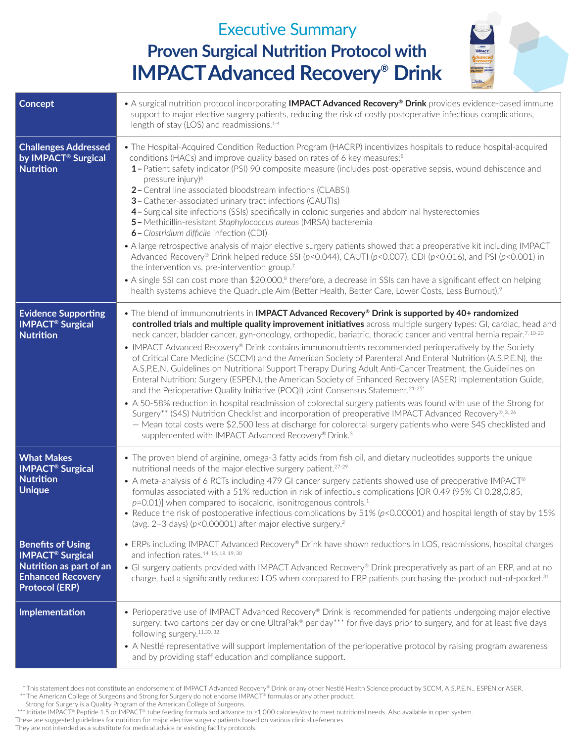## Executive Summary **Proven Surgical Nutrition Protocol with IMPACTAdvanced Recovery® Drink**



| <b>Concept</b>                                                                                                                                 | • A surgical nutrition protocol incorporating IMPACT Advanced Recovery® Drink provides evidence-based immune<br>support to major elective surgery patients, reducing the risk of costly postoperative infectious complications,<br>length of stay (LOS) and readmissions. <sup>1-4</sup>                                                                                                                                                                                                                                                                                                                                                                                                                                                                                                                                                                                                                                                                                                                                                                                                                                                                                                                                                                                                                                            |  |  |  |
|------------------------------------------------------------------------------------------------------------------------------------------------|-------------------------------------------------------------------------------------------------------------------------------------------------------------------------------------------------------------------------------------------------------------------------------------------------------------------------------------------------------------------------------------------------------------------------------------------------------------------------------------------------------------------------------------------------------------------------------------------------------------------------------------------------------------------------------------------------------------------------------------------------------------------------------------------------------------------------------------------------------------------------------------------------------------------------------------------------------------------------------------------------------------------------------------------------------------------------------------------------------------------------------------------------------------------------------------------------------------------------------------------------------------------------------------------------------------------------------------|--|--|--|
| <b>Challenges Addressed</b><br>by IMPACT <sup>®</sup> Surgical<br><b>Nutrition</b>                                                             | • The Hospital-Acquired Condition Reduction Program (HACRP) incentivizes hospitals to reduce hospital-acquired<br>conditions (HACs) and improve quality based on rates of 6 key measures: <sup>5</sup><br>1 - Patient safety indicator (PSI) 90 composite measure (includes post-operative sepsis, wound dehiscence and<br>pressure injury) <sup>6</sup><br>2 - Central line associated bloodstream infections (CLABSI)<br>3 - Catheter-associated urinary tract infections (CAUTIs)<br>4 - Surgical site infections (SSIs) specifically in colonic surgeries and abdominal hysterectomies<br>5 - Methicillin-resistant Staphylococcus aureus (MRSA) bacteremia<br>6 - Clostridium difficile infection (CDI)<br>• A large retrospective analysis of major elective surgery patients showed that a preoperative kit including IMPACT<br>Advanced Recovery® Drink helped reduce SSI (p<0.044), CAUTI (p<0.007), CDI (p<0.016), and PSI (p<0.001) in<br>the intervention vs. pre-intervention group.7<br>• A single SSI can cost more than \$20,000, <sup>8</sup> therefore, a decrease in SSIs can have a significant effect on helping<br>health systems achieve the Quadruple Aim (Better Health, Better Care, Lower Costs, Less Burnout). <sup>9</sup>                                                                             |  |  |  |
| <b>Evidence Supporting</b><br><b>IMPACT<sup>®</sup> Surgical</b><br><b>Nutrition</b>                                                           | . The blend of immunonutrients in IMPACT Advanced Recovery® Drink is supported by 40+ randomized<br>controlled trials and multiple quality improvement initiatives across multiple surgery types: GI, cardiac, head and<br>neck cancer, bladder cancer, gyn-oncology, orthopedic, bariatric, thoracic cancer and ventral hernia repair. <sup>7, 10-20</sup><br>• IMPACT Advanced Recovery® Drink contains immunonutrients recommended perioperatively by the Society<br>of Critical Care Medicine (SCCM) and the American Society of Parenteral And Enteral Nutrition (A.S.P.E.N), the<br>A.S.P.E.N. Guidelines on Nutritional Support Therapy During Adult Anti-Cancer Treatment, the Guidelines on<br>Enteral Nutrition: Surgery (ESPEN), the American Society of Enhanced Recovery (ASER) Implementation Guide,<br>and the Perioperative Quality Initiative (POQI) Joint Consensus Statement. <sup>21-25*</sup><br>• A 50-58% reduction in hospital readmission of colorectal surgery patients was found with use of the Strong for<br>Surgery** (S4S) Nutrition Checklist and incorporation of preoperative IMPACT Advanced Recovery®.3.26<br>- Mean total costs were \$2,500 less at discharge for colorectal surgery patients who were S4S checklisted and<br>supplemented with IMPACT Advanced Recovery® Drink. <sup>3</sup> |  |  |  |
| <b>What Makes</b><br><b>IMPACT<sup>®</sup> Surgical</b><br><b>Nutrition</b><br><b>Unique</b>                                                   | • The proven blend of arginine, omega-3 fatty acids from fish oil, and dietary nucleotides supports the unique<br>nutritional needs of the major elective surgery patient. <sup>27-29</sup><br>• A meta-analysis of 6 RCTs including 479 GI cancer surgery patients showed use of preoperative IMPACT®<br>formulas associated with a 51% reduction in risk of infectious complications [OR 0.49 (95% CI 0.28,0.85,<br>$p$ =0.01)] when compared to isocaloric, isonitrogenous controls. <sup>1</sup><br>• Reduce the risk of postoperative infectious complications by $51\%$ (p<0.00001) and hospital length of stay by 15%<br>(avg. $2-3$ days) ( $p < 0.00001$ ) after major elective surgery. <sup>2</sup>                                                                                                                                                                                                                                                                                                                                                                                                                                                                                                                                                                                                                      |  |  |  |
| <b>Benefits of Using</b><br><b>IMPACT<sup>®</sup> Surgical</b><br>Nutrition as part of an<br><b>Enhanced Recovery</b><br><b>Protocol (ERP)</b> | • ERPs including IMPACT Advanced Recovery® Drink have shown reductions in LOS, readmissions, hospital charges<br>and infection rates. <sup>14, 15, 18, 19, 30</sup><br>• GI surgery patients provided with IMPACT Advanced Recovery® Drink preoperatively as part of an ERP, and at no<br>charge, had a significantly reduced LOS when compared to ERP patients purchasing the product out-of-pocket. <sup>31</sup>                                                                                                                                                                                                                                                                                                                                                                                                                                                                                                                                                                                                                                                                                                                                                                                                                                                                                                                 |  |  |  |
| Implementation                                                                                                                                 | • Perioperative use of IMPACT Advanced Recovery® Drink is recommended for patients undergoing major elective<br>surgery: two cartons per day or one UltraPak® per day*** for five days prior to surgery, and for at least five days<br>following surgery. <sup>11,30, 32</sup><br>• A Nestlé representative will support implementation of the perioperative protocol by raising program awareness<br>and by providing staff education and compliance support.                                                                                                                                                                                                                                                                                                                                                                                                                                                                                                                                                                                                                                                                                                                                                                                                                                                                      |  |  |  |

 \* This statement does not constitute an endorsement of IMPACT Advanced Recovery® Drink or any other Nestlé Health Science product by SCCM, A.S.P.E.N., ESPEN or ASER. \*\* The American College of Surgeons and Strong for Surgery do not endorse IMPACT® formulas or any other product.

Strong for Surgery is a Quality Program of the American College of Surgeons.

\*\*\* Initiate IMPACT® Peptide 1.5 or IMPACT® tube feeding formula and advance to ≥1,000 calories/day to meet nutritional needs. Also available in open system. These are suggested guidelines for nutrition for major elective surgery patients based on various clinical references.

They are not intended as a substitute for medical advice or existing facility protocols.